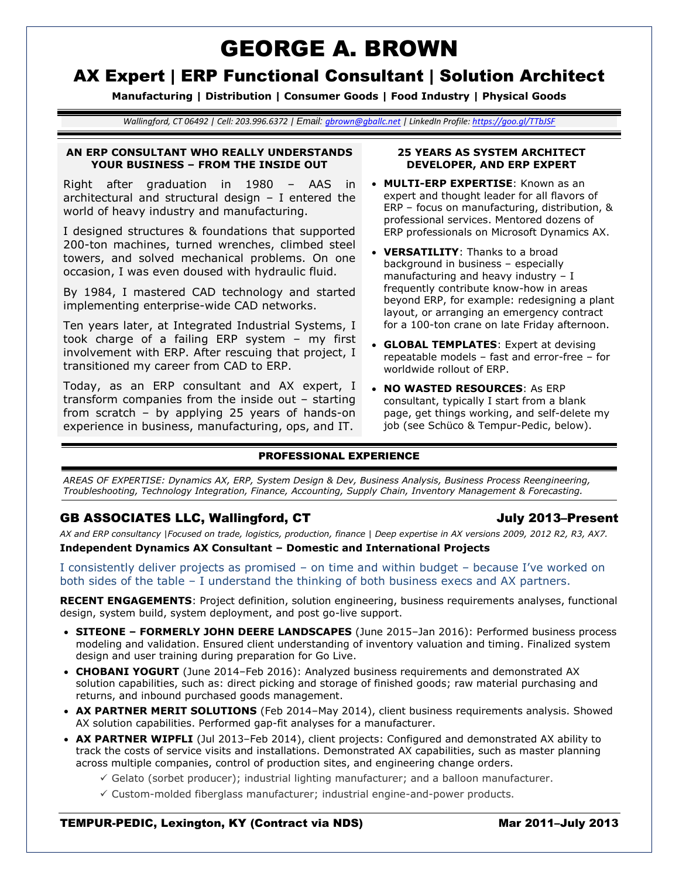# GEORGE A. BROWN

## AX Expert | ERP Functional Consultant | Solution Architect

**Manufacturing | Distribution | Consumer Goods | Food Industry | Physical Goods**

*Wallingford, CT 06492 | Cell: 203.996.6372 | Email: [gbrown@gballc.net](mailto:gbrown@gballc.net) | LinkedIn Profile: <https://goo.gl/TTbJSF>*

### **AN ERP CONSULTANT WHO REALLY UNDERSTANDS YOUR BUSINESS – FROM THE INSIDE OUT**

Right after graduation in 1980 – AAS in architectural and structural design – I entered the world of heavy industry and manufacturing.

I designed structures & foundations that supported 200-ton machines, turned wrenches, climbed steel towers, and solved mechanical problems. On one occasion, I was even doused with hydraulic fluid.

By 1984, I mastered CAD technology and started implementing enterprise-wide CAD networks.

Ten years later, at Integrated Industrial Systems, I took charge of a failing ERP system – my first involvement with ERP. After rescuing that project, I transitioned my career from CAD to ERP.

Today, as an ERP consultant and AX expert, I transform companies from the inside out – starting from scratch – by applying 25 years of hands-on experience in business, manufacturing, ops, and IT.

### **25 YEARS AS SYSTEM ARCHITECT DEVELOPER, AND ERP EXPERT**

- **MULTI-ERP EXPERTISE**: Known as an expert and thought leader for all flavors of ERP – focus on manufacturing, distribution, & professional services. Mentored dozens of ERP professionals on Microsoft Dynamics AX.
- **VERSATILITY**: Thanks to a broad background in business – especially manufacturing and heavy industry  $- I$ frequently contribute know-how in areas beyond ERP, for example: redesigning a plant layout, or arranging an emergency contract for a 100-ton crane on late Friday afternoon.
- **GLOBAL TEMPLATES**: Expert at devising repeatable models – fast and error-free – for worldwide rollout of ERP.
- **NO WASTED RESOURCES**: As ERP consultant, typically I start from a blank page, get things working, and self-delete my job (see Schüco & Tempur-Pedic, below).

### PROFESSIONAL EXPERIENCE

*AREAS OF EXPERTISE: Dynamics AX, ERP, System Design & Dev, Business Analysis, Business Process Reengineering, Troubleshooting, Technology Integration, Finance, Accounting, Supply Chain, Inventory Management & Forecasting.*

### GB ASSOCIATES LLC, Wallingford, CT July 2013–Present

*AX and ERP consultancy |Focused on trade, logistics, production, finance | Deep expertise in AX versions 2009, 2012 R2, R3, AX7.*

**Independent Dynamics AX Consultant – Domestic and International Projects**

I consistently deliver projects as promised – on time and within budget – because I've worked on both sides of the table – I understand the thinking of both business execs and AX partners.

**RECENT ENGAGEMENTS**: Project definition, solution engineering, business requirements analyses, functional design, system build, system deployment, and post go-live support.

- **SITEONE – FORMERLY JOHN DEERE LANDSCAPES** (June 2015–Jan 2016): Performed business process modeling and validation. Ensured client understanding of inventory valuation and timing. Finalized system design and user training during preparation for Go Live.
- **CHOBANI YOGURT** (June 2014–Feb 2016): Analyzed business requirements and demonstrated AX solution capabilities, such as: direct picking and storage of finished goods; raw material purchasing and returns, and inbound purchased goods management.
- **AX PARTNER MERIT SOLUTIONS** (Feb 2014–May 2014), client business requirements analysis. Showed AX solution capabilities. Performed gap-fit analyses for a manufacturer.
- **AX PARTNER WIPFLI** (Jul 2013–Feb 2014), client projects: Configured and demonstrated AX ability to track the costs of service visits and installations. Demonstrated AX capabilities, such as master planning across multiple companies, control of production sites, and engineering change orders.
	- $\checkmark$  Gelato (sorbet producer); industrial lighting manufacturer; and a balloon manufacturer.
	- $\checkmark$  Custom-molded fiberglass manufacturer; industrial engine-and-power products.

### TEMPUR-PEDIC, Lexington, KY (Contract via NDS) Mar 2011–July 2013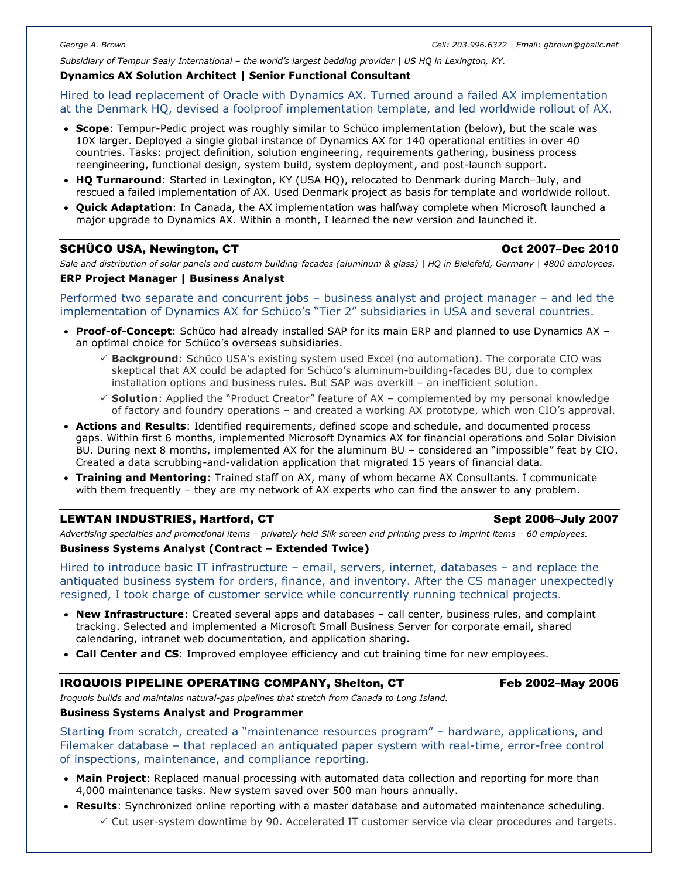*Subsidiary of Tempur Sealy International – the world's largest bedding provider | US HQ in Lexington, KY.*

### **Dynamics AX Solution Architect | Senior Functional Consultant**

Hired to lead replacement of Oracle with Dynamics AX. Turned around a failed AX implementation at the Denmark HQ, devised a foolproof implementation template, and led worldwide rollout of AX.

- **Scope**: Tempur-Pedic project was roughly similar to Schüco implementation (below), but the scale was 10X larger. Deployed a single global instance of Dynamics AX for 140 operational entities in over 40 countries. Tasks: project definition, solution engineering, requirements gathering, business process reengineering, functional design, system build, system deployment, and post-launch support.
- **HQ Turnaround**: Started in Lexington, KY (USA HQ), relocated to Denmark during March–July, and rescued a failed implementation of AX. Used Denmark project as basis for template and worldwide rollout.
- **Quick Adaptation**: In Canada, the AX implementation was halfway complete when Microsoft launched a major upgrade to Dynamics AX. Within a month, I learned the new version and launched it.

### SCHÜCO USA, Newington, CT **Oct 2007–Dec 2010**

*Sale and distribution of solar panels and custom building-facades (aluminum & glass) | HQ in Bielefeld, Germany | 4800 employees.* **ERP Project Manager | Business Analyst**

### Performed two separate and concurrent jobs – business analyst and project manager – and led the implementation of Dynamics AX for Schüco's "Tier 2" subsidiaries in USA and several countries.

- **Proof-of-Concept**: Schüco had already installed SAP for its main ERP and planned to use Dynamics AX an optimal choice for Schüco's overseas subsidiaries.
	- **Background**: Schüco USA's existing system used Excel (no automation). The corporate CIO was skeptical that AX could be adapted for Schüco's aluminum-building-facades BU, due to complex installation options and business rules. But SAP was overkill – an inefficient solution.
	- **Solution**: Applied the "Product Creator" feature of AX complemented by my personal knowledge of factory and foundry operations – and created a working AX prototype, which won CIO's approval.
- **Actions and Results**: Identified requirements, defined scope and schedule, and documented process gaps. Within first 6 months, implemented Microsoft Dynamics AX for financial operations and Solar Division BU. During next 8 months, implemented AX for the aluminum BU – considered an "impossible" feat by CIO. Created a data scrubbing-and-validation application that migrated 15 years of financial data.
- **Training and Mentoring**: Trained staff on AX, many of whom became AX Consultants. I communicate with them frequently – they are my network of AX experts who can find the answer to any problem.

### LEWTAN INDUSTRIES, Hartford, CT **Sept 2006–July 2007** Sept 2006–July 2007

*Advertising specialties and promotional items – privately held Silk screen and printing press to imprint items – 60 employees.*

### **Business Systems Analyst (Contract – Extended Twice)**

Hired to introduce basic IT infrastructure – email, servers, internet, databases – and replace the antiquated business system for orders, finance, and inventory. After the CS manager unexpectedly resigned, I took charge of customer service while concurrently running technical projects.

- **New Infrastructure**: Created several apps and databases call center, business rules, and complaint tracking. Selected and implemented a Microsoft Small Business Server for corporate email, shared calendaring, intranet web documentation, and application sharing.
- **Call Center and CS**: Improved employee efficiency and cut training time for new employees.

### IROQUOIS PIPELINE OPERATING COMPANY, Shelton, CT Feb 2002–May 2006

*Iroquois builds and maintains natural-gas pipelines that stretch from Canada to Long Island.*

### **Business Systems Analyst and Programmer**

Starting from scratch, created a "maintenance resources program" – hardware, applications, and Filemaker database – that replaced an antiquated paper system with real-time, error-free control of inspections, maintenance, and compliance reporting.

- **Main Project**: Replaced manual processing with automated data collection and reporting for more than 4,000 maintenance tasks. New system saved over 500 man hours annually.
- **Results**: Synchronized online reporting with a master database and automated maintenance scheduling.  $\checkmark$  Cut user-system downtime by 90. Accelerated IT customer service via clear procedures and targets.